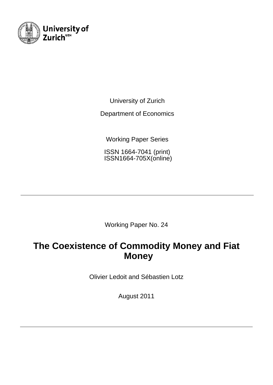

University of Zurich

Department of Economics

Working Paper Series

ISSN 1664-7041 (print) ISSN1664-705X(online)

Working Paper No. 24

# **The Coexistence of Commodity Money and Fiat Money**

Olivier Ledoit and Sébastien Lotz

August 2011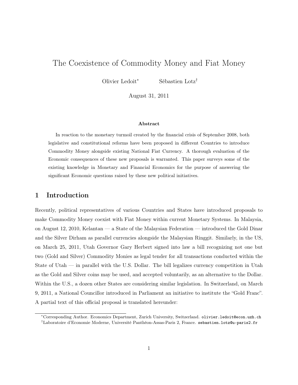## The Coexistence of Commodity Money and Fiat Money

Olivier Ledoit<sup>∗</sup> Sébastien Lotz†

August 31, 2011

#### Abstract

In reaction to the monetary turmoil created by the financial crisis of September 2008, both legislative and constitutional reforms have been proposed in different Countries to introduce Commodity Money alongside existing National Fiat Currency. A thorough evaluation of the Economic consequences of these new proposals is warranted. This paper surveys some of the existing knowledge in Monetary and Financial Economics for the purpose of answering the significant Economic questions raised by these new political initiatives.

#### 1 Introduction

Recently, political representatives of various Countries and States have introduced proposals to make Commodity Money coexist with Fiat Money within current Monetary Systems. In Malaysia, on August 12, 2010, Kelantan — a State of the Malaysian Federation — introduced the Gold Dinar and the Silver Dirham as parallel currencies alongside the Malaysian Ringgit. Similarly, in the US, on March 25, 2011, Utah Governor Gary Herbert signed into law a bill recognizing not one but two (Gold and Silver) Commodity Monies as legal tender for all transactions conducted within the State of Utah — in parallel with the U.S. Dollar. The bill legalizes currency competition in Utah as the Gold and Silver coins may be used, and accepted voluntarily, as an alternative to the Dollar. Within the U.S., a dozen other States are considering similar legislation. In Switzerland, on March 9, 2011, a National Councillor introduced in Parliament an initiative to institute the "Gold Franc". A partial text of this official proposal is translated hereunder:

<sup>∗</sup>Corresponding Author. Economics Department, Zurich University, Switzerland. olivier.ledoit@econ.uzh.ch †Laboratoire d'Economie Moderne, Université Panthéon-Assas-Paris 2, France. sebastien.lotz@u-paris2.fr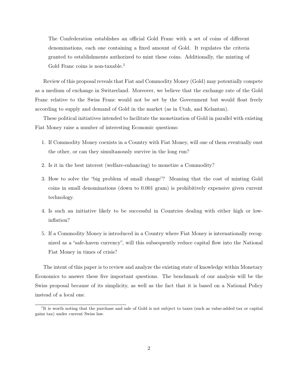The Confederation establishes an official Gold Franc with a set of coins of different denominations, each one containing a fixed amount of Gold. It regulates the criteria granted to establishments authorized to mint these coins. Additionally, the minting of Gold Franc coins is non-taxable.<sup>1</sup>

Review of this proposal reveals that Fiat and Commodity Money (Gold) may potentially compete as a medium of exchange in Switzerland. Moreover, we believe that the exchange rate of the Gold Franc relative to the Swiss Franc would not be set by the Government but would float freely according to supply and demand of Gold in the market (as in Utah, and Kelantan).

These political initiatives intended to facilitate the monetization of Gold in parallel with existing Fiat Money raise a number of interesting Economic questions:

- 1. If Commodity Money coexists in a Country with Fiat Money, will one of them eventually oust the other, or can they simultanously survive in the long run?
- 2. Is it in the best interest (welfare-enhancing) to monetize a Commodity?
- 3. How to solve the "big problem of small change"? Meaning that the cost of minting Gold coins in small denominations (down to 0.001 gram) is prohibitively expensive given current technology.
- 4. Is such an initiative likely to be successful in Countries dealing with either high or lowinflation?
- 5. If a Commodity Money is introduced in a Country where Fiat Money is internationally recognized as a "safe-haven currency", will this subsequently reduce capital flow into the National Fiat Money in times of crisis?

The intent of this paper is to review and analyze the existing state of knowledge within Monetary Economics to answer these five important questions. The benchmark of our analysis will be the Swiss proposal because of its simplicity, as well as the fact that it is based on a National Policy instead of a local one.

<sup>&</sup>lt;sup>1</sup>It is worth noting that the purchase and sale of Gold is not subject to taxes (such as value-added tax or capital gains tax) under current Swiss law.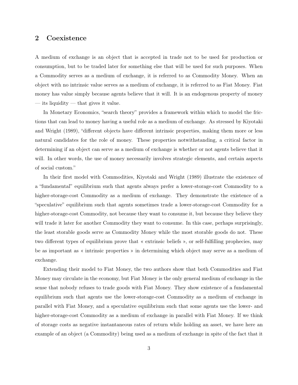#### 2 Coexistence

A medium of exchange is an object that is accepted in trade not to be used for production or consumption, but to be traded later for something else that will be used for such purposes. When a Commodity serves as a medium of exchange, it is referred to as Commodity Money. When an object with no intrinsic value serves as a medium of exchange, it is referred to as Fiat Money. Fiat money has value simply because agents believe that it will. It is an endogenous property of money — its liquidity — that gives it value.

In Monetary Economics, "search theory" provides a framework within which to model the frictions that can lead to money having a useful role as a medium of exchange. As stressed by Kiyotaki and Wright (1989), "different objects have different intrinsic properties, making them more or less natural candidates for the role of money. These properties notwithstanding, a critical factor in determining if an object can serve as a medium of exchange is whether or not agents believe that it will. In other words, the use of money necessarily involves strategic elements, and certain aspects of social custom."

In their first model with Commodities, Kiyotaki and Wright (1989) illustrate the existence of a "fundamental" equilibrium such that agents always prefer a lower-storage-cost Commodity to a higher-storage-cost Commodity as a medium of exchange. They demonstrate the existence of a "speculative" equilibrium such that agents sometimes trade a lower-storage-cost Commodity for a higher-storage-cost Commodity, not because they want to consume it, but because they believe they will trade it later for another Commodity they want to consume. In this case, perhaps surprisingly, the least storable goods serve as Commodity Money while the most storable goods do not. These two different types of equilibrium prove that « extrinsic beliefs », or self-fulfilling prophecies, may be as important as « intrinsic properties » in determining which object may serve as a medium of exchange.

Extending their model to Fiat Money, the two authors show that both Commodities and Fiat Money may circulate in the economy, but Fiat Money is the only general medium of exchange in the sense that nobody refuses to trade goods with Fiat Money. They show existence of a fundamental equilibrium such that agents use the lower-storage-cost Commodity as a medium of exchange in parallel with Fiat Money, and a speculative equilibrium such that some agents use the lower- and higher-storage-cost Commodity as a medium of exchange in parallel with Fiat Money. If we think of storage costs as negative instantaneous rates of return while holding an asset, we have here an example of an object (a Commodity) being used as a medium of exchange in spite of the fact that it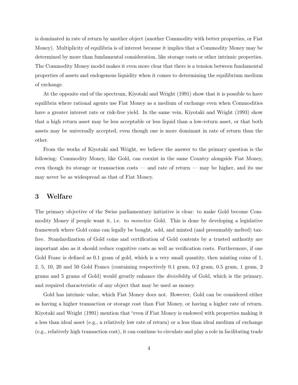is dominated in rate of return by another object (another Commodity with better properties, or Fiat Money). Multiplicity of equilibria is of interest because it implies that a Commodity Money may be determined by more than fundamental consideration, like storage costs or other intrinsic properties. The Commodity Money model makes it even more clear that there is a tension between fundamental properties of assets and endogenous liquidity when it comes to determining the equilibrium medium of exchange.

At the opposite end of the spectrum, Kiyotaki and Wright (1991) show that it is possible to have equilibria where rational agents use Fiat Money as a medium of exchange even when Commodities have a greater interest rate or risk-free yield. In the same vein, Kiyotaki and Wright (1993) show that a high return asset may be less acceptable or less liquid than a low-return asset, or that both assets may be universally accepted, even though one is more dominant in rate of return than the other.

From the works of Kiyotaki and Wright, we believe the answer to the primary question is the following: Commodity Money, like Gold, can coexist in the same Country alongside Fiat Money, even though its storage or transaction costs — and rate of return — may be higher, and its use may never be as widespread as that of Fiat Money.

#### 3 Welfare

The primary objective of the Swiss parliamentary initiative is clear: to make Gold become Commodity Money if people want it, i.e. to *monetize* Gold. This is done by developing a legislative framework where Gold coins can legally be bought, sold, and minted (and presumably melted) taxfree. Standardization of Gold coins and certification of Gold contents by a trusted authority are important also as it should reduce cognitive costs as well as verification costs. Furthermore, if one Gold Franc is defined as 0.1 gram of gold, which is a very small quantity, then minting coins of 1, 2, 5, 10, 20 and 50 Gold Francs (containing respectively 0.1 gram, 0.2 gram, 0.5 gram, 1 gram, 2 grams and 5 grams of Gold) would greatly enhance the divisibility of Gold, which is the primary, and required characteristic of any object that may be used as money.

Gold has intrinsic value, which Fiat Money does not. However, Gold can be considered either as having a higher transaction or storage cost than Fiat Money, or having a higher rate of return. Kiyotaki and Wright (1991) mention that "even if Fiat Money is endowed with properties making it a less than ideal asset (e.g., a relatively low rate of return) or a less than ideal medium of exchange (e.g., relatively high transaction cost), it can continue to circulate and play a role in facilitating trade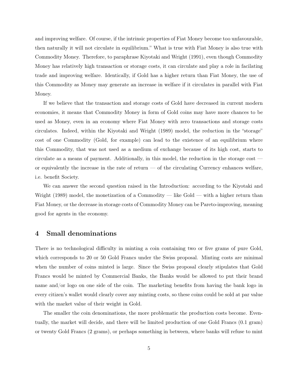and improving welfare. Of course, if the intrinsic properties of Fiat Money become too unfavourable, then naturally it will not circulate in equilibrium." What is true with Fiat Money is also true with Commodity Money. Therefore, to paraphrase Kiyotaki and Wright (1991), even though Commodity Money has relatively high transaction or storage costs, it can circulate and play a role in facilating trade and improving welfare. Identically, if Gold has a higher return than Fiat Money, the use of this Commodity as Money may generate an increase in welfare if it circulates in parallel with Fiat Money.

If we believe that the transaction and storage costs of Gold have decreased in current modern economies, it means that Commodity Money in form of Gold coins may have more chances to be used as Money, even in an economy where Fiat Money with zero transactions and storage costs circulates. Indeed, within the Kiyotaki and Wright (1989) model, the reduction in the "storage" cost of one Commodity (Gold, for example) can lead to the existence of an equilibrium where this Commodity, that was not used as a medium of exchange because of its high cost, starts to circulate as a means of payment. Additionally, in this model, the reduction in the storage cost or equivalently the increase in the rate of return — of the circulating Currency enhances welfare, i.e. benefit Society.

We can answer the second question raised in the Introduction: according to the Kiyotaki and Wright (1989) model, the monetization of a Commodity — like Gold — with a higher return than Fiat Money, or the decrease in storage costs of Commodity Money can be Pareto-improving, meaning good for agents in the economy.

#### 4 Small denominations

There is no technological difficulty in minting a coin containing two or five grams of pure Gold, which corresponds to 20 or 50 Gold Francs under the Swiss proposal. Minting costs are minimal when the number of coins minted is large. Since the Swiss proposal clearly stipulates that Gold Francs would be minted by Commercial Banks, the Banks would be allowed to put their brand name and/or logo on one side of the coin. The marketing benefits from having the bank logo in every citizen's wallet would clearly cover any minting costs, so these coins could be sold at par value with the market value of their weight in Gold.

The smaller the coin denominations, the more problematic the production costs become. Eventually, the market will decide, and there will be limited production of one Gold Francs (0.1 gram) or twenty Gold Francs (2 grams), or perhaps something in between, where banks will refuse to mint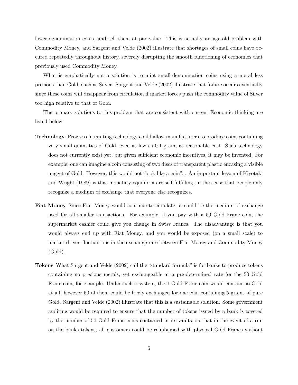lower-denomination coins, and sell them at par value. This is actually an age-old problem with Commodity Money, and Sargent and Velde (2002) illustrate that shortages of small coins have occured repeatedly throughout history, severely disrupting the smooth functioning of economies that previously used Commodity Money.

What is emphatically not a solution is to mint small-denomination coins using a metal less precious than Gold, such as Silver. Sargent and Velde (2002) illustrate that failure occurs eventually since these coins will disappear from circulation if market forces push the commodity value of Silver too high relative to that of Gold.

The primary solutions to this problem that are consistent with current Economic thinking are listed below:

- Technology Progress in minting technology could allow manufacturers to produce coins containing very small quantities of Gold, even as low as 0.1 gram, at reasonable cost. Such technology does not currently exist yet, but given sufficient economic incentives, it may be invented. For example, one can imagine a coin consisting of two discs of transparent plastic encasing a visible nugget of Gold. However, this would not "look like a coin"... An important lesson of Kiyotaki and Wright (1989) is that monetary equilibria are self-fulfilling, in the sense that people only recognize a medium of exchange that everyone else recognizes.
- Fiat Money Since Fiat Money would continue to circulate, it could be the medium of exchange used for all smaller transactions. For example, if you pay with a 50 Gold Franc coin, the supermarket cashier could give you change in Swiss Francs. The disadvantage is that you would always end up with Fiat Money, and you would be exposed (on a small scale) to market-driven fluctuations in the exchange rate between Fiat Money and Commodity Money (Gold).
- Tokens What Sargent and Velde (2002) call the "standard formula" is for banks to produce tokens containing no precious metals, yet exchangeable at a pre-determined rate for the 50 Gold Franc coin, for example. Under such a system, the 1 Gold Franc coin would contain no Gold at all, however 50 of them could be freely exchanged for one coin containing 5 grams of pure Gold. Sargent and Velde (2002) illustrate that this is a sustainable solution. Some government auditing would be required to ensure that the number of tokens issued by a bank is covered by the number of 50 Gold Franc coins contained in its vaults, so that in the event of a run on the banks tokens, all customers could be reimbursed with physical Gold Francs without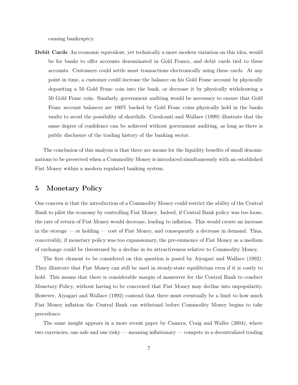causing bankruptcy.

Debit Cards An economic equivalent, yet technically a more modern variation on this idea, would be for banks to offer accounts denominated in Gold Francs, and debit cards tied to these accounts. Customers could settle most transactions electronically using these cards. At any point in time, a customer could increase the balance on his Gold Franc account by physically depositing a 50 Gold Franc coin into the bank, or decrease it by physically withdrawing a 50 Gold Franc coin. Similarly, government auditing would be necessary to ensure that Gold Franc account balances are 100% backed by Gold Franc coins physically held in the banks vaults to avoid the possibility of shortfalls. Cavalcanti and Wallace (1999) illustrate that the same degree of confidence can be achieved without government auditing, as long as there is public disclosure of the trading history of the banking sector.

The conclusion of this analysis is that there are means for the liquidity benefits of small denominations to be preserved when a Commodity Money is introduced simultaneously with an established Fiat Money within a modern regulated banking system.

#### 5 Monetary Policy

One concern is that the introduction of a Commodity Money could restrict the ability of the Central Bank to pilot the economy by controlling Fiat Money. Indeed, if Central Bank policy was too loose, the rate of return of Fiat Money would decrease, leading to inflation. This would create an increase in the storage — or holding — cost of Fiat Money, and consequently a decrease in demand. Thus, conceivably, if monetary policy was too expansionary, the pre-eminence of Fiat Money as a medium of exchange could be threatened by a decline in its attractiveness relative to Commodity Money.

The first element to be considered on this question is posed by Aiyagari and Wallace (1992). They illustrate that Fiat Money can still be used in steady-state equilibrium even if it is costly to hold. This means that there is considerable margin of maneuver for the Central Bank to conduct Monetary Policy, without having to be concerned that Fiat Money may decline into unpopularity. However, Aiyagari and Wallace (1992) contend that there must eventually be a limit to how much Fiat Money inflation the Central Bank can withstand before Commodity Money begins to take precedence.

The same insight appears in a more recent paper by Camera, Craig and Waller (2004), where two currencies, one safe and one risky — meaning inflationary — compete in a decentralized trading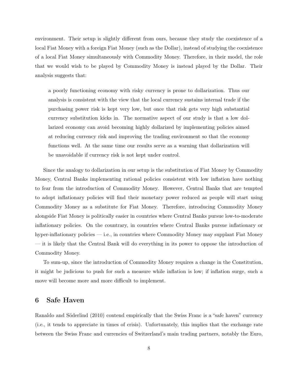environment. Their setup is slightly different from ours, because they study the coexistence of a local Fiat Money with a foreign Fiat Money (such as the Dollar), instead of studying the coexistence of a local Fiat Money simultaneously with Commodity Money. Therefore, in their model, the role that we would wish to be played by Commodity Money is instead played by the Dollar. Their analysis suggests that:

a poorly functioning economy with risky currency is prone to dollarization. Thus our analysis is consistent with the view that the local currency sustains internal trade if the purchasing power risk is kept very low, but once that risk gets very high substantial currency substitution kicks in. The normative aspect of our study is that a low dollarized economy can avoid becoming highly dollarized by implementing policies aimed at reducing currency risk and improving the trading environment so that the economy functions well. At the same time our results serve as a warning that dollarization will be unavoidable if currency risk is not kept under control.

Since the analogy to dollarization in our setup is the substitution of Fiat Money by Commodity Money, Central Banks implementing rational policies consistent with low inflation have nothing to fear from the introduction of Commodity Money. However, Central Banks that are tempted to adopt inflationary policies will find their monetary power reduced as people will start using Commodity Money as a substitute for Fiat Money. Therefore, introducing Commodity Money alongside Fiat Money is politically easier in countries where Central Banks pursue low-to-moderate inflationary policies. On the countrary, in countries where Central Banks pursue inflationary or hyper-inflationary policies — i.e., in countries where Commodity Money may supplant Fiat Money — it is likely that the Central Bank will do everything in its power to oppose the introduction of Commodity Money.

To sum-up, since the introduction of Commodity Money requires a change in the Constitution, it might be judicious to push for such a measure while inflation is low; if inflation surge, such a move will become more and more difficult to implement.

### 6 Safe Haven

Ranaldo and Söderlind (2010) contend empirically that the Swiss Franc is a "safe haven" currency (i.e., it tends to appreciate in times of crisis). Unfortunately, this implies that the exchange rate between the Swiss Franc and currencies of Switzerland's main trading partners, notably the Euro,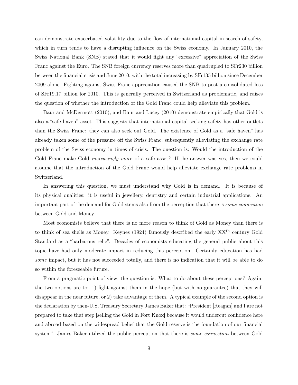can demonstrate exacerbated volatility due to the flow of international capital in search of safety, which in turn tends to have a disrupting influence on the Swiss economy. In January 2010, the Swiss National Bank (SNB) stated that it would fight any "excessive" appreciation of the Swiss Franc against the Euro. The SNB foreign currency reserves more than quadrupled to SFr230 billion between the financial crisis and June 2010, with the total increasing by SFr135 billion since December 2009 alone. Fighting against Swiss Franc appreciation caused the SNB to post a consolidated loss of SFr19.17 billion for 2010. This is generally perceived in Switzerland as problematic, and raises the question of whether the introduction of the Gold Franc could help alleviate this problem.

Baur and McDermott (2010), and Baur and Lucey (2010) demonstrate empirically that Gold is also a "safe haven" asset. This suggests that international capital seeking safety has other outlets than the Swiss Franc: they can also seek out Gold. The existence of Gold as a "safe haven" has already taken some of the pressure off the Swiss Franc, subsequently alleviating the exchange rate problem of the Swiss economy in times of crisis. The question is: Would the introduction of the Gold Franc make Gold *increasingly more* of a safe asset? If the answer was yes, then we could assume that the introduction of the Gold Franc would help alleviate exchange rate problems in Switzerland.

In answering this question, we must understand why Gold is in demand. It is because of its physical qualities: it is useful in jewellery, dentistry and certain industrial applications. An important part of the demand for Gold stems also from the perception that there is some connection between Gold and Money.

Most economists believe that there is no more reason to think of Gold as Money than there is to think of sea shells as Money. Keynes (1924) famously described the early XXth century Gold Standard as a "barbarous relic". Decades of economists educating the general public about this topic have had only moderate impact in reducing this perception. Certainly education has had some impact, but it has not succeeded totally, and there is no indication that it will be able to do so within the foreseeable future.

From a pragmatic point of view, the question is: What to do about these perceptions? Again, the two options are to: 1) fight against them in the hope (but with no guarantee) that they will disappear in the near future, or 2) take advantage of them. A typical example of the second option is the declaration by then-U.S. Treasury Secretary James Baker that: "President [Reagan] and I are not prepared to take that step [selling the Gold in Fort Knox] because it would undercut confidence here and abroad based on the widespread belief that the Gold reserve is the foundation of our financial system". James Baker utilized the public perception that there is *some connection* between Gold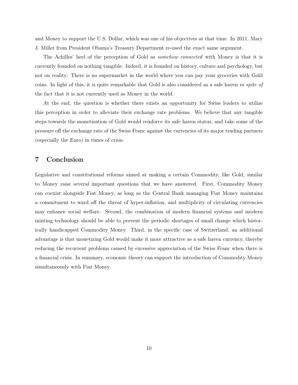and Money to support the U.S. Dollar, which was one of his objectives at that time. In 2011, Mary J. Miller from President Obama's Treasury Department re-used the exact same argument.

The Achilles' heel of the perception of Gold as somehow connected with Money is that it is currently founded on nothing tangible. Indeed, it is founded on history, culture and psychology, but not on reality: There is no supermarket in the world where you can pay your groceries with Gold coins. In light of this, it is quite remarkable that Gold is also considered as a safe haven in spite of the fact that it is not currently used as Money in the world.

At the end, the question is whether there exists an opportunity for Swiss leaders to utilize this perception in order to alleviate their exchange rate problems. We believe that any tangible steps towards the monetization of Gold would reinforce its safe haven status, and take some of the pressure off the exchange rate of the Swiss Franc against the currencies of its major trading partners (especially the Euro) in times of crisis.

### 7 Conclusion

Legislative and constitutional reforms aimed at making a certain Commodity, like Gold, similar to Money raise several important questions that we have answered. First, Commodity Money can coexist alongside Fiat Money, as long as the Central Bank managing Fiat Money maintains a commitment to ward off the threat of hyper-inflation, and multiplicity of circulating currencies may enhance social welfare. Second, the combination of modern financial systems and modern minting technology should be able to prevent the periodic shortages of small change which historically handicapped Commodity Money. Third, in the specific case of Switzerland, an additional advantage is that monetizing Gold would make it more attractive as a safe haven currency, thereby reducing the recurrent problems caused by excessive appreciation of the Swiss Franc when there is a financial crisis. In summary, economic theory can support the introduction of Commodity Money simultaneously with Fiat Money.